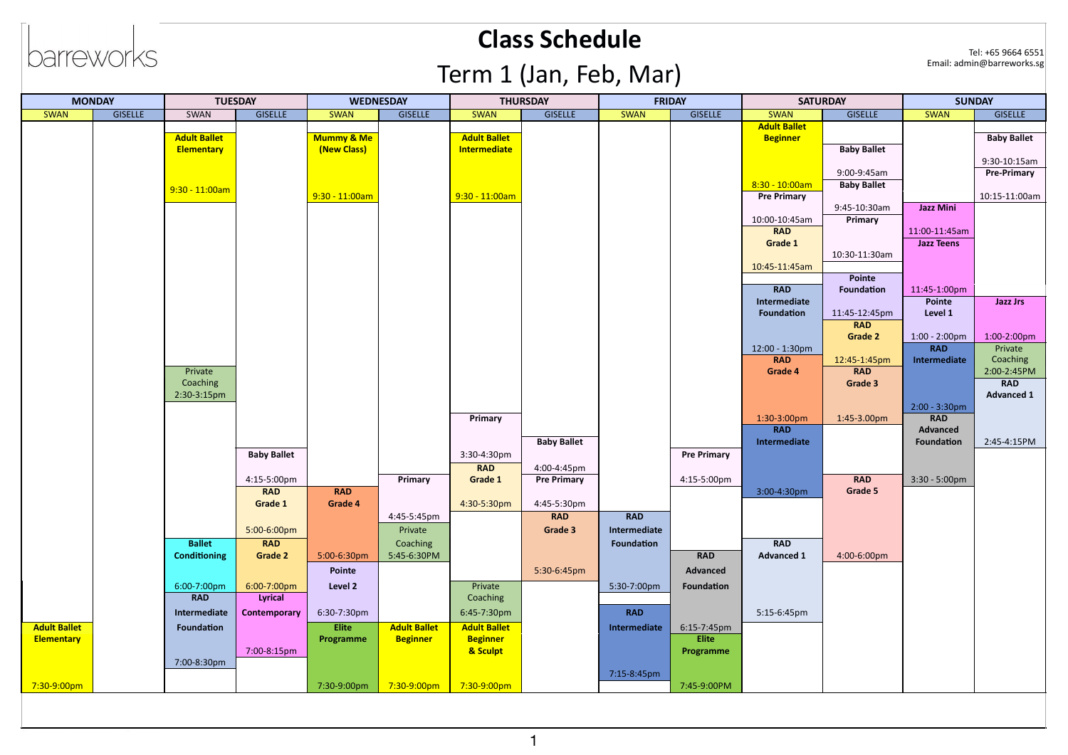# barreworks

#### **Class Schedule**

Tel: +65 9664 6551<br>Email: admin@barreworks.sg

## Term 1 (Jan, Feb, Mar)

| <b>MONDAY</b>       |                | <b>TUESDAY</b>      |                    | <b>WEDNESDAY</b> |                     | <b>THURSDAY</b>     |                    | FRIDAY            |                    | <b>SATURDAY</b>                        |                    | <b>SUNDAY</b>                         |                     |
|---------------------|----------------|---------------------|--------------------|------------------|---------------------|---------------------|--------------------|-------------------|--------------------|----------------------------------------|--------------------|---------------------------------------|---------------------|
| <b>SWAN</b>         | <b>GISELLE</b> | SWAN                | <b>GISELLE</b>     | <b>SWAN</b>      | <b>GISELLE</b>      | <b>SWAN</b>         | <b>GISELLE</b>     | <b>SWAN</b>       | <b>GISELLE</b>     | <b>SWAN</b>                            | <b>GISELLE</b>     | <b>SWAN</b>                           | <b>GISELLE</b>      |
|                     |                |                     |                    |                  |                     |                     |                    |                   |                    | <b>Adult Ballet</b>                    |                    |                                       |                     |
|                     |                | <b>Adult Ballet</b> |                    | Mummy & Me       |                     | <b>Adult Ballet</b> |                    |                   |                    | <b>Beginner</b>                        |                    |                                       | <b>Baby Ballet</b>  |
|                     |                | Elementary          |                    | (New Class)      |                     | Intermediate        |                    |                   |                    |                                        | <b>Baby Ballet</b> |                                       |                     |
|                     |                |                     |                    |                  |                     |                     |                    |                   |                    |                                        |                    |                                       | 9:30-10:15am        |
|                     |                |                     |                    |                  |                     |                     |                    |                   |                    |                                        | 9:00-9:45am        |                                       | Pre-Primary         |
|                     |                | $9:30 - 11:00am$    |                    | $9:30 - 11:00am$ |                     | $9:30 - 11:00am$    |                    |                   |                    | $8:30 - 10:00am$<br><b>Pre Primary</b> | <b>Baby Ballet</b> |                                       | 10:15-11:00am       |
|                     |                |                     |                    |                  |                     |                     |                    |                   |                    |                                        | 9:45-10:30am       | <b>Jazz Mini</b>                      |                     |
|                     |                |                     |                    |                  |                     |                     |                    |                   |                    | 10:00-10:45am                          | Primary            |                                       |                     |
|                     |                |                     |                    |                  |                     |                     |                    |                   |                    | <b>RAD</b>                             |                    | 11:00-11:45am                         |                     |
|                     |                |                     |                    |                  |                     |                     |                    |                   |                    | Grade 1                                |                    | <b>Jazz Teens</b>                     |                     |
|                     |                |                     |                    |                  |                     |                     |                    |                   |                    |                                        | 10:30-11:30am      |                                       |                     |
|                     |                |                     |                    |                  |                     |                     |                    |                   |                    | 10:45-11:45am                          |                    |                                       |                     |
|                     |                |                     |                    |                  |                     |                     |                    |                   |                    |                                        | Pointe             |                                       |                     |
|                     |                |                     |                    |                  |                     |                     |                    |                   |                    | <b>RAD</b>                             | <b>Foundation</b>  | 11:45-1:00pm                          |                     |
|                     |                |                     |                    |                  |                     |                     |                    |                   |                    | Intermediate                           |                    | Pointe                                | <b>Jazz Jrs</b>     |
|                     |                |                     |                    |                  |                     |                     |                    |                   |                    | <b>Foundation</b>                      | 11:45-12:45pm      | Level 1                               |                     |
|                     |                |                     |                    |                  |                     |                     |                    |                   |                    |                                        | <b>RAD</b>         |                                       |                     |
|                     |                |                     |                    |                  |                     |                     |                    |                   |                    |                                        | Grade 2            | $1:00 - 2:00 \text{pm}$<br><b>RAD</b> | 1:00-2:00pm         |
|                     |                |                     |                    |                  |                     |                     |                    |                   |                    | 12:00 - 1:30pm<br><b>RAD</b>           | 12:45-1:45pm       | Intermediate                          | Private<br>Coaching |
|                     |                | Private             |                    |                  |                     |                     |                    |                   |                    | Grade 4                                | <b>RAD</b>         |                                       | 2:00-2:45PM         |
|                     |                | Coaching            |                    |                  |                     |                     |                    |                   |                    |                                        | Grade 3            |                                       | <b>RAD</b>          |
|                     |                | 2:30-3:15pm         |                    |                  |                     |                     |                    |                   |                    |                                        |                    |                                       | <b>Advanced 1</b>   |
|                     |                |                     |                    |                  |                     |                     |                    |                   |                    |                                        |                    | $2:00 - 3:30$ pm                      |                     |
|                     |                |                     |                    |                  |                     | Primary             |                    |                   |                    | 1:30-3:00pm                            | 1:45-3.00pm        | <b>RAD</b>                            |                     |
|                     |                |                     |                    |                  |                     |                     |                    |                   |                    | <b>RAD</b>                             |                    | Advanced                              |                     |
|                     |                |                     |                    |                  |                     |                     | <b>Baby Ballet</b> |                   |                    | Intermediate                           |                    | Foundation                            | 2:45-4:15PM         |
|                     |                |                     | <b>Baby Ballet</b> |                  |                     | 3:30-4:30pm         |                    |                   | <b>Pre Primary</b> |                                        |                    |                                       |                     |
|                     |                |                     |                    |                  |                     | <b>RAD</b>          | 4:00-4:45pm        |                   |                    |                                        |                    |                                       |                     |
|                     |                |                     | 4:15-5:00pm        |                  | Primary             | Grade 1             | <b>Pre Primary</b> |                   | 4:15-5:00pm        |                                        | <b>RAD</b>         | $3:30 - 5:00 \text{pm}$               |                     |
|                     |                |                     | <b>RAD</b>         | <b>RAD</b>       |                     |                     |                    |                   |                    | 3:00-4:30pm                            | Grade 5            |                                       |                     |
|                     |                |                     | Grade 1            | Grade 4          |                     | 4:30-5:30pm         | 4:45-5:30pm        |                   |                    |                                        |                    |                                       |                     |
|                     |                |                     |                    |                  | 4:45-5:45pm         |                     | <b>RAD</b>         | <b>RAD</b>        |                    |                                        |                    |                                       |                     |
|                     |                |                     | 5:00-6:00pm        |                  | Private             |                     | Grade 3            | Intermediate      |                    |                                        |                    |                                       |                     |
|                     |                | <b>Ballet</b>       | <b>RAD</b>         |                  | Coaching            |                     |                    | <b>Foundation</b> |                    | <b>RAD</b>                             |                    |                                       |                     |
|                     |                | <b>Conditioning</b> | Grade 2            | 5:00-6:30pm      | 5:45-6:30PM         |                     |                    |                   | <b>RAD</b>         | <b>Advanced 1</b>                      | 4:00-6:00pm        |                                       |                     |
|                     |                |                     |                    | Pointe           |                     |                     | 5:30-6:45pm        |                   | Advanced           |                                        |                    |                                       |                     |
|                     |                | 6:00-7:00pm         | 6:00-7:00pm        | Level 2          |                     | Private             |                    | 5:30-7:00pm       | <b>Foundation</b>  |                                        |                    |                                       |                     |
|                     |                | <b>RAD</b>          | Lyrical            |                  |                     | Coaching            |                    |                   |                    |                                        |                    |                                       |                     |
|                     |                | Intermediate        | Contemporary       | 6:30-7:30pm      |                     | 6:45-7:30pm         |                    | <b>RAD</b>        |                    | 5:15-6:45pm                            |                    |                                       |                     |
| <b>Adult Ballet</b> |                | Foundation          |                    | <b>Elite</b>     | <b>Adult Ballet</b> | <b>Adult Ballet</b> |                    | Intermediate      | 6:15-7:45pm        |                                        |                    |                                       |                     |
| <b>Elementary</b>   |                |                     |                    | Programme        | <b>Beginner</b>     | <b>Beginner</b>     |                    |                   | <b>Elite</b>       |                                        |                    |                                       |                     |
|                     |                |                     | 7:00-8:15pm        |                  |                     | & Sculpt            |                    |                   | Programme          |                                        |                    |                                       |                     |
|                     |                | 7:00-8:30pm         |                    |                  |                     |                     |                    |                   |                    |                                        |                    |                                       |                     |
|                     |                |                     |                    |                  |                     |                     |                    | 7:15-8:45pm       |                    |                                        |                    |                                       |                     |
| 7:30-9:00pm         |                |                     |                    | 7:30-9:00pm      | 7:30-9:00pm         | 7:30-9:00pm         |                    |                   | 7:45-9:00PM        |                                        |                    |                                       |                     |
|                     |                |                     |                    |                  |                     |                     |                    |                   |                    |                                        |                    |                                       |                     |